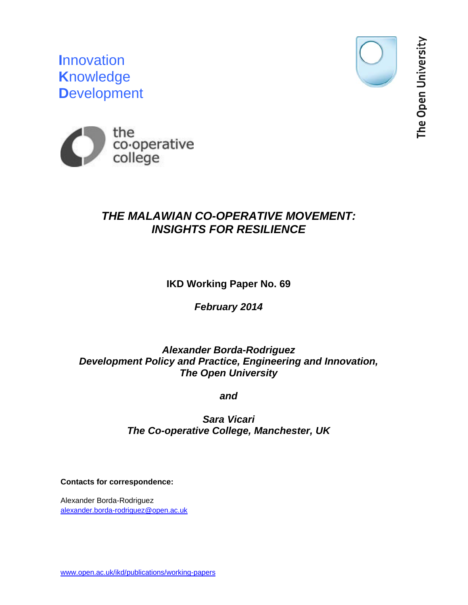**I**nnovation **K**nowledge **D**evelopment



The Open University



# *THE MALAWIAN CO-OPERATIVE MOVEMENT: INSIGHTS FOR RESILIENCE*

## **IKD Working Paper No. 69**

*February 2014* 

*Alexander Borda-Rodriguez Development Policy and Practice, Engineering and Innovation, The Open University* 

*and* 

*Sara Vicari The Co-operative College, Manchester, UK* 

**Contacts for correspondence:** 

Alexander Borda-Rodriguez alexander.borda-rodriguez@open.ac.uk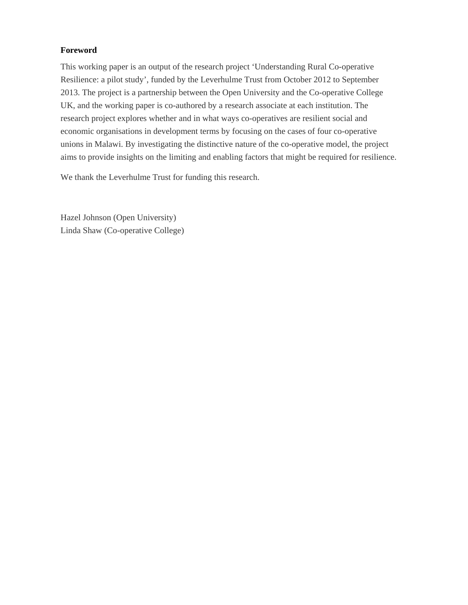## **Foreword**

This working paper is an output of the research project 'Understanding Rural Co-operative Resilience: a pilot study', funded by the Leverhulme Trust from October 2012 to September 2013. The project is a partnership between the Open University and the Co-operative College UK, and the working paper is co-authored by a research associate at each institution. The research project explores whether and in what ways co-operatives are resilient social and economic organisations in development terms by focusing on the cases of four co-operative unions in Malawi. By investigating the distinctive nature of the co-operative model, the project aims to provide insights on the limiting and enabling factors that might be required for resilience.

We thank the Leverhulme Trust for funding this research.

Hazel Johnson (Open University) Linda Shaw (Co-operative College)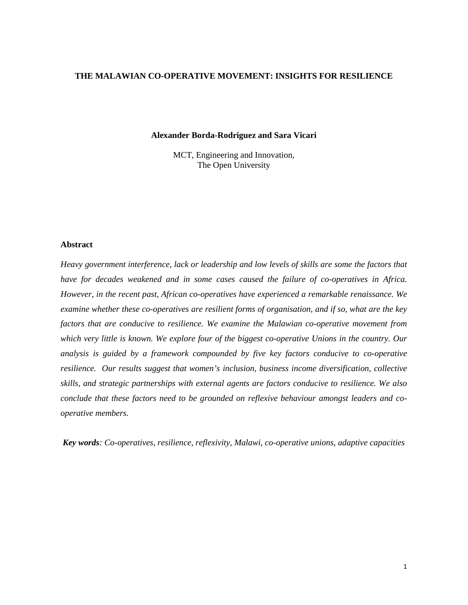#### **THE MALAWIAN CO-OPERATIVE MOVEMENT: INSIGHTS FOR RESILIENCE**

#### **Alexander Borda-Rodriguez and Sara Vicari**

MCT, Engineering and Innovation, The Open University

#### **Abstract**

*Heavy government interference, lack or leadership and low levels of skills are some the factors that have for decades weakened and in some cases caused the failure of co-operatives in Africa. However, in the recent past, African co-operatives have experienced a remarkable renaissance. We examine whether these co-operatives are resilient forms of organisation, and if so, what are the key factors that are conducive to resilience. We examine the Malawian co-operative movement from which very little is known. We explore four of the biggest co-operative Unions in the country. Our analysis is guided by a framework compounded by five key factors conducive to co-operative resilience. Our results suggest that women's inclusion, business income diversification, collective skills, and strategic partnerships with external agents are factors conducive to resilience. We also conclude that these factors need to be grounded on reflexive behaviour amongst leaders and cooperative members.* 

*Key words: Co-operatives, resilience, reflexivity, Malawi, co-operative unions, adaptive capacities*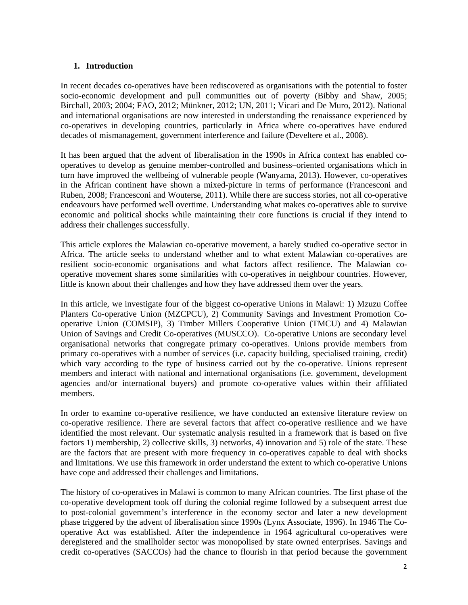#### **1. Introduction**

In recent decades co-operatives have been rediscovered as organisations with the potential to foster socio-economic development and pull communities out of poverty (Bibby and Shaw, 2005; Birchall, 2003; 2004; FAO, 2012; Münkner, 2012; UN, 2011; Vicari and De Muro, 2012). National and international organisations are now interested in understanding the renaissance experienced by co-operatives in developing countries, particularly in Africa where co-operatives have endured decades of mismanagement, government interference and failure (Develtere et al., 2008).

It has been argued that the advent of liberalisation in the 1990s in Africa context has enabled cooperatives to develop as genuine member-controlled and business–oriented organisations which in turn have improved the wellbeing of vulnerable people (Wanyama, 2013). However, co-operatives in the African continent have shown a mixed-picture in terms of performance (Francesconi and Ruben, 2008; Francesconi and Wouterse, 2011). While there are success stories, not all co-operative endeavours have performed well overtime. Understanding what makes co-operatives able to survive economic and political shocks while maintaining their core functions is crucial if they intend to address their challenges successfully.

This article explores the Malawian co-operative movement, a barely studied co-operative sector in Africa. The article seeks to understand whether and to what extent Malawian co-operatives are resilient socio-economic organisations and what factors affect resilience. The Malawian cooperative movement shares some similarities with co-operatives in neighbour countries. However, little is known about their challenges and how they have addressed them over the years.

In this article, we investigate four of the biggest co-operative Unions in Malawi: 1) Mzuzu Coffee Planters Co-operative Union (MZCPCU), 2) Community Savings and Investment Promotion Cooperative Union (COMSIP), 3) Timber Millers Cooperative Union (TMCU) and 4) Malawian Union of Savings and Credit Co-operatives (MUSCCO). Co-operative Unions are secondary level organisational networks that congregate primary co-operatives. Unions provide members from primary co-operatives with a number of services (i.e. capacity building, specialised training, credit) which vary according to the type of business carried out by the co-operative. Unions represent members and interact with national and international organisations (i.e. government, development agencies and/or international buyers) and promote co-operative values within their affiliated members.

In order to examine co-operative resilience, we have conducted an extensive literature review on co-operative resilience. There are several factors that affect co-operative resilience and we have identified the most relevant. Our systematic analysis resulted in a framework that is based on five factors 1) membership, 2) collective skills, 3) networks, 4) innovation and 5) role of the state. These are the factors that are present with more frequency in co-operatives capable to deal with shocks and limitations. We use this framework in order understand the extent to which co-operative Unions have cope and addressed their challenges and limitations.

The history of co-operatives in Malawi is common to many African countries. The first phase of the co-operative development took off during the colonial regime followed by a subsequent arrest due to post-colonial government's interference in the economy sector and later a new development phase triggered by the advent of liberalisation since 1990s (Lynx Associate, 1996). In 1946 The Cooperative Act was established. After the independence in 1964 agricultural co-operatives were deregistered and the smallholder sector was monopolised by state owned enterprises. Savings and credit co-operatives (SACCOs) had the chance to flourish in that period because the government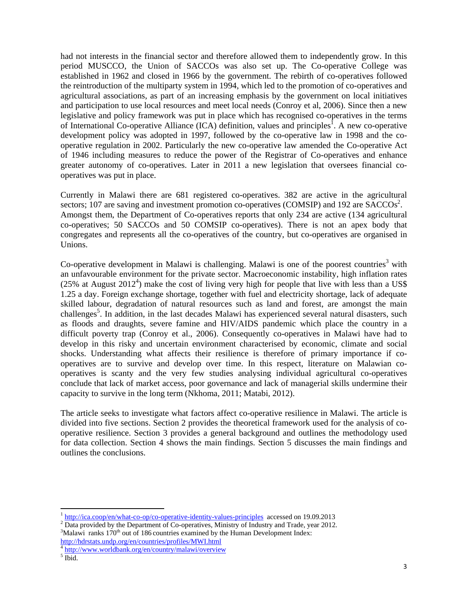had not interests in the financial sector and therefore allowed them to independently grow. In this period MUSCCO, the Union of SACCOs was also set up. The Co-operative College was established in 1962 and closed in 1966 by the government. The rebirth of co-operatives followed the reintroduction of the multiparty system in 1994, which led to the promotion of co-operatives and agricultural associations, as part of an increasing emphasis by the government on local initiatives and participation to use local resources and meet local needs (Conroy et al, 2006). Since then a new legislative and policy framework was put in place which has recognised co-operatives in the terms of International Co-operative Alliance  $(ICA)$  definition, values and principles<sup>1</sup>. A new co-operative development policy was adopted in 1997, followed by the co-operative law in 1998 and the cooperative regulation in 2002. Particularly the new co-operative law amended the Co-operative Act of 1946 including measures to reduce the power of the Registrar of Co-operatives and enhance greater autonomy of co-operatives. Later in 2011 a new legislation that oversees financial cooperatives was put in place.

Currently in Malawi there are 681 registered co-operatives. 382 are active in the agricultural sectors; 107 are saving and investment promotion co-operatives (COMSIP) and 192 are  $SACCOs<sup>2</sup>$ . Amongst them, the Department of Co-operatives reports that only 234 are active (134 agricultural co-operatives; 50 SACCOs and 50 COMSIP co-operatives). There is not an apex body that congregates and represents all the co-operatives of the country, but co-operatives are organised in Unions.

Co-operative development in Malawi is challenging. Malawi is one of the poorest countries<sup>3</sup> with an unfavourable environment for the private sector. Macroeconomic instability, high inflation rates  $(25\%$  at August  $2012<sup>4</sup>$ ) make the cost of living very high for people that live with less than a US\$ 1.25 a day. Foreign exchange shortage, together with fuel and electricity shortage, lack of adequate skilled labour, degradation of natural resources such as land and forest, are amongst the main challenges<sup>5</sup>. In addition, in the last decades Malawi has experienced several natural disasters, such as floods and draughts, severe famine and HIV/AIDS pandemic which place the country in a difficult poverty trap (Conroy et al., 2006). Consequently co-operatives in Malawi have had to develop in this risky and uncertain environment characterised by economic, climate and social shocks. Understanding what affects their resilience is therefore of primary importance if cooperatives are to survive and develop over time. In this respect, literature on Malawian cooperatives is scanty and the very few studies analysing individual agricultural co-operatives conclude that lack of market access, poor governance and lack of managerial skills undermine their capacity to survive in the long term (Nkhoma, 2011; Matabi, 2012).

The article seeks to investigate what factors affect co-operative resilience in Malawi. The article is divided into five sections. Section 2 provides the theoretical framework used for the analysis of cooperative resilience. Section 3 provides a general background and outlines the methodology used for data collection. Section 4 shows the main findings. Section 5 discusses the main findings and outlines the conclusions.

http://ica.coop/en/what-co-op/co-operative-identity-values-principles accessed on 19.09.2013

 $^2$  Data provided by the Department of Co-operatives, Ministry of Industry and Trade, year 2012.  $3$ Malawi ranks 170<sup>th</sup> out of 186 countries examined by the Human Development Index:

http://hdrstats.undp.org/en/countries/profiles/MWI.html

<sup>&</sup>lt;sup>4</sup> http://www.worldbank.org/en/country/malawi/overview

 $\overline{5}$  Ibid.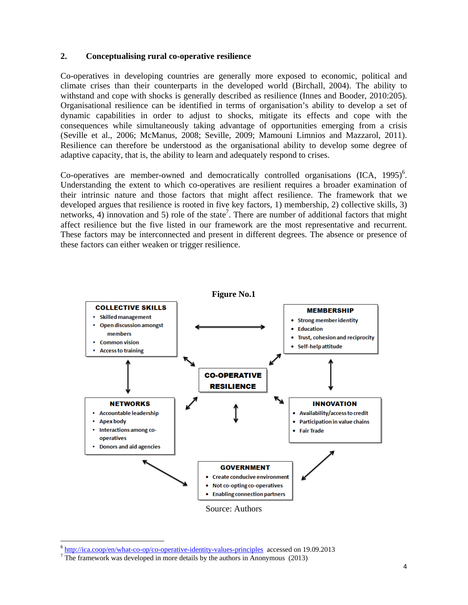#### **2. Conceptualising rural co-operative resilience**

Co-operatives in developing countries are generally more exposed to economic, political and climate crises than their counterparts in the developed world (Birchall, 2004). The ability to withstand and cope with shocks is generally described as resilience (Innes and Booder, 2010:205). Organisational resilience can be identified in terms of organisation's ability to develop a set of dynamic capabilities in order to adjust to shocks, mitigate its effects and cope with the consequences while simultaneously taking advantage of opportunities emerging from a crisis (Seville et al., 2006; McManus, 2008; Seville, 2009; Mamouni Limnios and Mazzarol, 2011). Resilience can therefore be understood as the organisational ability to develop some degree of adaptive capacity, that is, the ability to learn and adequately respond to crises.

Co-operatives are member-owned and democratically controlled organisations  $(ICA, 1995)^6$ . Understanding the extent to which co-operatives are resilient requires a broader examination of their intrinsic nature and those factors that might affect resilience. The framework that we developed argues that resilience is rooted in five key factors, 1) membership, 2) collective skills, 3) networks, 4) innovation and 5) role of the state<sup>7</sup>. There are number of additional factors that might affect resilience but the five listed in our framework are the most representative and recurrent. These factors may be interconnected and present in different degrees. The absence or presence of these factors can either weaken or trigger resilience.



 $6$  http://ica.coop/en/what-co-op/co-operative-identity-values-principles accessed on 19.09.2013

 $7$  The framework was developed in more details by the authors in Anonymous (2013)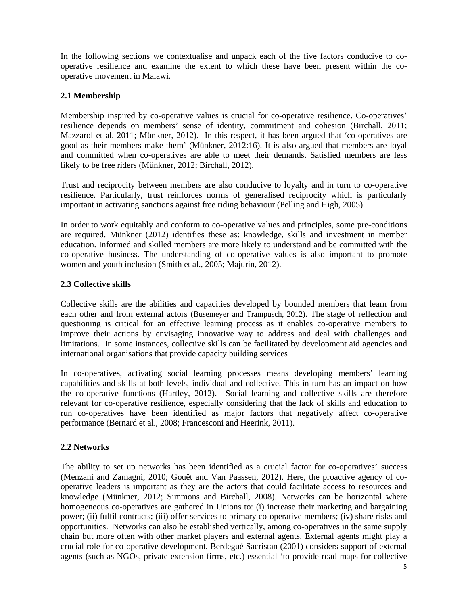In the following sections we contextualise and unpack each of the five factors conducive to cooperative resilience and examine the extent to which these have been present within the cooperative movement in Malawi.

#### **2.1 Membership**

Membership inspired by co-operative values is crucial for co-operative resilience. Co-operatives' resilience depends on members' sense of identity, commitment and cohesion (Birchall, 2011; Mazzarol et al. 2011; Münkner, 2012). In this respect, it has been argued that 'co-operatives are good as their members make them' (Münkner, 2012:16). It is also argued that members are loyal and committed when co-operatives are able to meet their demands. Satisfied members are less likely to be free riders (Münkner, 2012; Birchall, 2012).

Trust and reciprocity between members are also conducive to loyalty and in turn to co-operative resilience. Particularly, trust reinforces norms of generalised reciprocity which is particularly important in activating sanctions against free riding behaviour (Pelling and High, 2005).

In order to work equitably and conform to co-operative values and principles, some pre-conditions are required. Münkner (2012) identifies these as: knowledge, skills and investment in member education. Informed and skilled members are more likely to understand and be committed with the co-operative business. The understanding of co-operative values is also important to promote women and youth inclusion (Smith et al., 2005; Majurin, 2012).

#### **2.3 Collective skills**

Collective skills are the abilities and capacities developed by bounded members that learn from each other and from external actors (Busemeyer and Trampusch, 2012). The stage of reflection and questioning is critical for an effective learning process as it enables co-operative members to improve their actions by envisaging innovative way to address and deal with challenges and limitations. In some instances, collective skills can be facilitated by development aid agencies and international organisations that provide capacity building services

In co-operatives, activating social learning processes means developing members' learning capabilities and skills at both levels, individual and collective. This in turn has an impact on how the co-operative functions (Hartley, 2012). Social learning and collective skills are therefore relevant for co-operative resilience, especially considering that the lack of skills and education to run co-operatives have been identified as major factors that negatively affect co-operative performance (Bernard et al., 2008; Francesconi and Heerink, 2011).

## **2.2 Networks**

The ability to set up networks has been identified as a crucial factor for co-operatives' success (Menzani and Zamagni, 2010; Gouët and Van Paassen, 2012). Here, the proactive agency of cooperative leaders is important as they are the actors that could facilitate access to resources and knowledge (Münkner, 2012; Simmons and Birchall, 2008). Networks can be horizontal where homogeneous co-operatives are gathered in Unions to: (i) increase their marketing and bargaining power; (ii) fulfil contracts; (iii) offer services to primary co-operative members; (iv) share risks and opportunities. Networks can also be established vertically, among co-operatives in the same supply chain but more often with other market players and external agents. External agents might play a crucial role for co-operative development. Berdegué Sacristan (2001) considers support of external agents (such as NGOs, private extension firms, etc.) essential 'to provide road maps for collective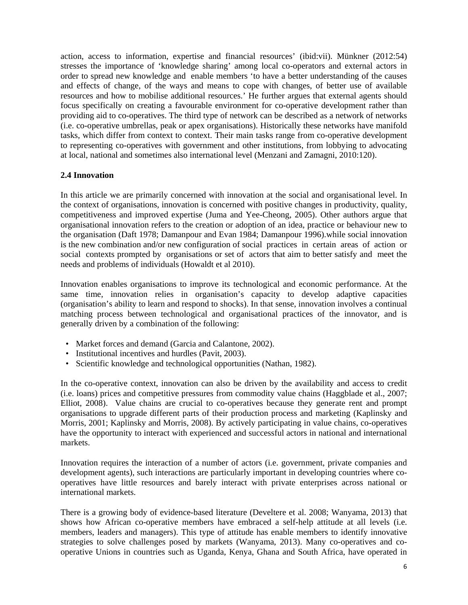action, access to information, expertise and financial resources' (ibid:vii). Münkner (2012:54) stresses the importance of 'knowledge sharing' among local co-operators and external actors in order to spread new knowledge and enable members 'to have a better understanding of the causes and effects of change, of the ways and means to cope with changes, of better use of available resources and how to mobilise additional resources.' He further argues that external agents should focus specifically on creating a favourable environment for co-operative development rather than providing aid to co-operatives. The third type of network can be described as a network of networks (i.e. co-operative umbrellas, peak or apex organisations). Historically these networks have manifold tasks, which differ from context to context. Their main tasks range from co-operative development to representing co-operatives with government and other institutions, from lobbying to advocating at local, national and sometimes also international level (Menzani and Zamagni, 2010:120).

#### **2.4 Innovation**

In this article we are primarily concerned with innovation at the social and organisational level. In the context of organisations, innovation is concerned with positive changes in productivity, quality, competitiveness and improved expertise (Juma and Yee-Cheong, 2005). Other authors argue that organisational innovation refers to the creation or adoption of an idea, practice or behaviour new to the organisation (Daft 1978; Damanpour and Evan 1984; Damanpour 1996).while social innovation is the new combination and/or new configuration of social practices in certain areas of action or social contexts prompted by organisations or set of actors that aim to better satisfy and meet the needs and problems of individuals (Howaldt et al 2010).

Innovation enables organisations to improve its technological and economic performance. At the same time, innovation relies in organisation's capacity to develop adaptive capacities (organisation's ability to learn and respond to shocks). In that sense, innovation involves a continual matching process between technological and organisational practices of the innovator, and is generally driven by a combination of the following:

- Market forces and demand (Garcia and Calantone, 2002).
- Institutional incentives and hurdles (Pavit, 2003).
- Scientific knowledge and technological opportunities (Nathan, 1982).

In the co-operative context, innovation can also be driven by the availability and access to credit (i.e. loans) prices and competitive pressures from commodity value chains (Haggblade et al., 2007; Elliot, 2008). Value chains are crucial to co-operatives because they generate rent and prompt organisations to upgrade different parts of their production process and marketing (Kaplinsky and Morris, 2001; Kaplinsky and Morris, 2008). By actively participating in value chains, co-operatives have the opportunity to interact with experienced and successful actors in national and international markets.

Innovation requires the interaction of a number of actors (i.e. government, private companies and development agents), such interactions are particularly important in developing countries where cooperatives have little resources and barely interact with private enterprises across national or international markets.

There is a growing body of evidence-based literature (Develtere et al. 2008; Wanyama, 2013) that shows how African co-operative members have embraced a self-help attitude at all levels (i.e. members, leaders and managers). This type of attitude has enable members to identify innovative strategies to solve challenges posed by markets (Wanyama, 2013). Many co-operatives and cooperative Unions in countries such as Uganda, Kenya, Ghana and South Africa, have operated in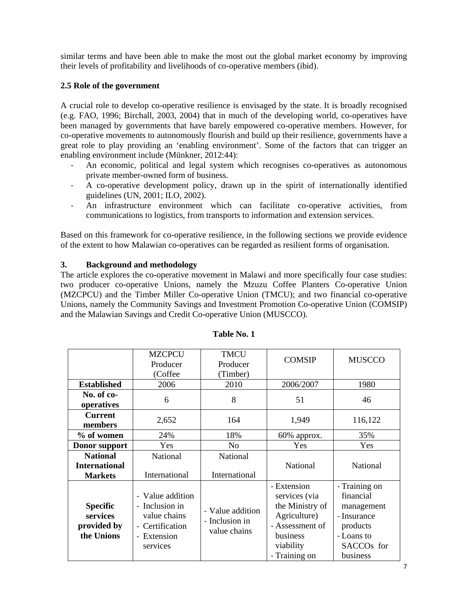similar terms and have been able to make the most out the global market economy by improving their levels of profitability and livelihoods of co-operative members (ibid).

## **2.5 Role of the government**

A crucial role to develop co-operative resilience is envisaged by the state. It is broadly recognised (e.g. FAO, 1996; Birchall, 2003, 2004) that in much of the developing world, co-operatives have been managed by governments that have barely empowered co-operative members. However, for co-operative movements to autonomously flourish and build up their resilience, governments have a great role to play providing an 'enabling environment'. Some of the factors that can trigger an enabling environment include (Münkner, 2012:44):

- ‐ An economic, political and legal system which recognises co-operatives as autonomous private member-owned form of business.
- ‐ A co-operative development policy, drawn up in the spirit of internationally identified guidelines (UN, 2001; ILO, 2002).
- ‐ An infrastructure environment which can facilitate co-operative activities, from communications to logistics, from transports to information and extension services.

Based on this framework for co-operative resilience, in the following sections we provide evidence of the extent to how Malawian co-operatives can be regarded as resilient forms of organisation.

#### **3. Background and methodology**

The article explores the co-operative movement in Malawi and more specifically four case studies: two producer co-operative Unions, namely the Mzuzu Coffee Planters Co-operative Union (MZCPCU) and the Timber Miller Co-operative Union (TMCU); and two financial co-operative Unions, namely the Community Savings and Investment Promotion Co-operative Union (COMSIP) and the Malawian Savings and Credit Co-operative Union (MUSCCO).

|                      | <b>MZCPCU</b>    | <b>TMCU</b>                    | <b>COMSIP</b>   | <b>MUSCCO</b>          |
|----------------------|------------------|--------------------------------|-----------------|------------------------|
|                      | Producer         | Producer                       |                 |                        |
|                      | (Coffee          | (Timber)                       |                 |                        |
| <b>Established</b>   | 2006             | 2010                           | 2006/2007       | 1980                   |
| No. of co-           | 6                | 8                              | 51              | 46                     |
| operatives           |                  |                                |                 |                        |
| <b>Current</b>       | 2,652            | 164                            | 1,949           | 116,122                |
| members              |                  |                                |                 |                        |
| % of women           | 24%              | 18%                            | 60% approx.     | 35%                    |
| Donor support        | Yes              | N <sub>o</sub>                 | Yes             | Yes                    |
| <b>National</b>      | National         | National                       |                 |                        |
| <b>International</b> |                  |                                | National        | National               |
| <b>Markets</b>       | International    | International                  |                 |                        |
|                      |                  |                                | - Extension     | - Training on          |
|                      | - Value addition |                                | services (via   | financial              |
| <b>Specific</b>      | - Inclusion in   |                                | the Ministry of | management             |
| services             | value chains     | - Value addition               | Agriculture)    | - Insurance            |
| provided by          | - Certification  | - Inclusion in<br>value chains | - Assessment of | products               |
| the Unions           | - Extension      |                                | business        | - Loans to             |
|                      | services         |                                | viability       | SACCO <sub>s</sub> for |
|                      |                  |                                | - Training on   | business               |

## **Table No. 1**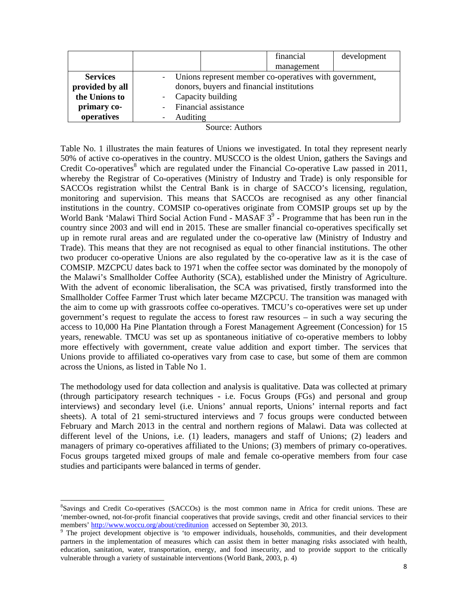|                 |                          |                                                        |  | financial  | development |
|-----------------|--------------------------|--------------------------------------------------------|--|------------|-------------|
|                 |                          |                                                        |  | management |             |
| <b>Services</b> | $\overline{\phantom{a}}$ | Unions represent member co-operatives with government, |  |            |             |
| provided by all |                          | donors, buyers and financial institutions              |  |            |             |
| the Unions to   |                          | Capacity building                                      |  |            |             |
| primary co-     |                          | Financial assistance                                   |  |            |             |
| operatives      |                          | Auditing                                               |  |            |             |

Source: Authors

Table No. 1 illustrates the main features of Unions we investigated. In total they represent nearly 50% of active co-operatives in the country. MUSCCO is the oldest Union, gathers the Savings and Credit Co-operatives<sup>8</sup> which are regulated under the Financial Co-operative Law passed in 2011, whereby the Registrar of Co-operatives (Ministry of Industry and Trade) is only responsible for SACCOs registration whilst the Central Bank is in charge of SACCO's licensing, regulation, monitoring and supervision. This means that SACCOs are recognised as any other financial institutions in the country. COMSIP co-operatives originate from COMSIP groups set up by the World Bank 'Malawi Third Social Action Fund - MASAF  $3^9$  - Programme that has been run in the country since 2003 and will end in 2015. These are smaller financial co-operatives specifically set up in remote rural areas and are regulated under the co-operative law (Ministry of Industry and Trade). This means that they are not recognised as equal to other financial institutions. The other two producer co-operative Unions are also regulated by the co-operative law as it is the case of COMSIP. MZCPCU dates back to 1971 when the coffee sector was dominated by the monopoly of the Malawi's Smallholder Coffee Authority (SCA), established under the Ministry of Agriculture. With the advent of economic liberalisation, the SCA was privatised, firstly transformed into the Smallholder Coffee Farmer Trust which later became MZCPCU. The transition was managed with the aim to come up with grassroots coffee co-operatives. TMCU's co-operatives were set up under government's request to regulate the access to forest raw resources – in such a way securing the access to 10,000 Ha Pine Plantation through a Forest Management Agreement (Concession) for 15 years, renewable. TMCU was set up as spontaneous initiative of co-operative members to lobby more effectively with government, create value addition and export timber. The services that Unions provide to affiliated co-operatives vary from case to case, but some of them are common across the Unions, as listed in Table No 1.

The methodology used for data collection and analysis is qualitative. Data was collected at primary (through participatory research techniques - i.e. Focus Groups (FGs) and personal and group interviews) and secondary level (i.e. Unions' annual reports, Unions' internal reports and fact sheets). A total of 21 semi-structured interviews and 7 focus groups were conducted between February and March 2013 in the central and northern regions of Malawi. Data was collected at different level of the Unions, i.e. (1) leaders, managers and staff of Unions; (2) leaders and managers of primary co-operatives affiliated to the Unions; (3) members of primary co-operatives. Focus groups targeted mixed groups of male and female co-operative members from four case studies and participants were balanced in terms of gender.

<sup>&</sup>lt;sup>8</sup>Savings and Credit Co-operatives (SACCOs) is the most common name in Africa for credit unions. These are 'member-owned, not-for-profit financial cooperatives that provide savings, credit and other financial services to their members' http://www.woccu.org/about/creditunion accessed on September 30, 2013.

<sup>&</sup>lt;sup>9</sup> The project development objective is 'to empower individuals, households, communities, and their development partners in the implementation of measures which can assist them in better managing risks associated with health, education, sanitation, water, transportation, energy, and food insecurity, and to provide support to the critically vulnerable through a variety of sustainable interventions (World Bank, 2003, p. 4)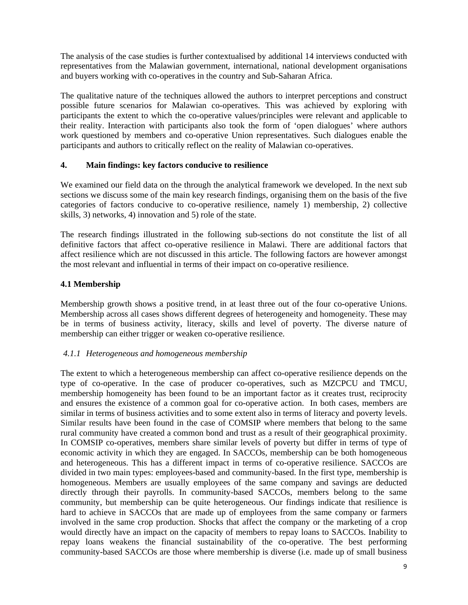The analysis of the case studies is further contextualised by additional 14 interviews conducted with representatives from the Malawian government, international, national development organisations and buyers working with co-operatives in the country and Sub-Saharan Africa.

The qualitative nature of the techniques allowed the authors to interpret perceptions and construct possible future scenarios for Malawian co-operatives. This was achieved by exploring with participants the extent to which the co-operative values/principles were relevant and applicable to their reality. Interaction with participants also took the form of 'open dialogues' where authors work questioned by members and co-operative Union representatives. Such dialogues enable the participants and authors to critically reflect on the reality of Malawian co-operatives.

#### **4. Main findings: key factors conducive to resilience**

We examined our field data on the through the analytical framework we developed. In the next sub sections we discuss some of the main key research findings, organising them on the basis of the five categories of factors conducive to co-operative resilience, namely 1) membership, 2) collective skills, 3) networks, 4) innovation and 5) role of the state.

The research findings illustrated in the following sub-sections do not constitute the list of all definitive factors that affect co-operative resilience in Malawi. There are additional factors that affect resilience which are not discussed in this article. The following factors are however amongst the most relevant and influential in terms of their impact on co-operative resilience.

## **4.1 Membership**

Membership growth shows a positive trend, in at least three out of the four co-operative Unions. Membership across all cases shows different degrees of heterogeneity and homogeneity. These may be in terms of business activity, literacy, skills and level of poverty. The diverse nature of membership can either trigger or weaken co-operative resilience.

#### *4.1.1 Heterogeneous and homogeneous membership*

The extent to which a heterogeneous membership can affect co-operative resilience depends on the type of co-operative. In the case of producer co-operatives, such as MZCPCU and TMCU, membership homogeneity has been found to be an important factor as it creates trust, reciprocity and ensures the existence of a common goal for co-operative action. In both cases, members are similar in terms of business activities and to some extent also in terms of literacy and poverty levels. Similar results have been found in the case of COMSIP where members that belong to the same rural community have created a common bond and trust as a result of their geographical proximity. In COMSIP co-operatives, members share similar levels of poverty but differ in terms of type of economic activity in which they are engaged. In SACCOs, membership can be both homogeneous and heterogeneous. This has a different impact in terms of co-operative resilience. SACCOs are divided in two main types: employees-based and community-based. In the first type, membership is homogeneous. Members are usually employees of the same company and savings are deducted directly through their payrolls. In community-based SACCOs, members belong to the same community, but membership can be quite heterogeneous. Our findings indicate that resilience is hard to achieve in SACCOs that are made up of employees from the same company or farmers involved in the same crop production. Shocks that affect the company or the marketing of a crop would directly have an impact on the capacity of members to repay loans to SACCOs. Inability to repay loans weakens the financial sustainability of the co-operative. The best performing community-based SACCOs are those where membership is diverse (i.e. made up of small business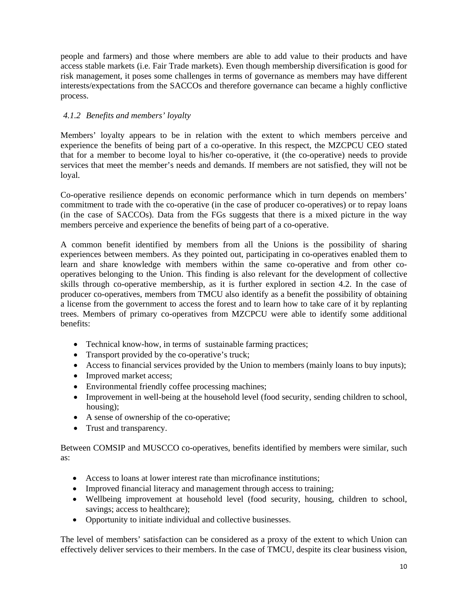people and farmers) and those where members are able to add value to their products and have access stable markets (i.e. Fair Trade markets). Even though membership diversification is good for risk management, it poses some challenges in terms of governance as members may have different interests/expectations from the SACCOs and therefore governance can became a highly conflictive process.

## *4.1.2 Benefits and members' loyalty*

Members' loyalty appears to be in relation with the extent to which members perceive and experience the benefits of being part of a co-operative. In this respect, the MZCPCU CEO stated that for a member to become loyal to his/her co-operative, it (the co-operative) needs to provide services that meet the member's needs and demands. If members are not satisfied, they will not be loyal.

Co-operative resilience depends on economic performance which in turn depends on members' commitment to trade with the co-operative (in the case of producer co-operatives) or to repay loans (in the case of SACCOs). Data from the FGs suggests that there is a mixed picture in the way members perceive and experience the benefits of being part of a co-operative.

A common benefit identified by members from all the Unions is the possibility of sharing experiences between members. As they pointed out, participating in co-operatives enabled them to learn and share knowledge with members within the same co-operative and from other cooperatives belonging to the Union. This finding is also relevant for the development of collective skills through co-operative membership, as it is further explored in section 4.2. In the case of producer co-operatives, members from TMCU also identify as a benefit the possibility of obtaining a license from the government to access the forest and to learn how to take care of it by replanting trees. Members of primary co-operatives from MZCPCU were able to identify some additional benefits:

- Technical know-how, in terms of sustainable farming practices;
- Transport provided by the co-operative's truck;
- Access to financial services provided by the Union to members (mainly loans to buy inputs);
- Improved market access;
- Environmental friendly coffee processing machines;
- Improvement in well-being at the household level (food security, sending children to school, housing);
- A sense of ownership of the co-operative;
- Trust and transparency.

Between COMSIP and MUSCCO co-operatives, benefits identified by members were similar, such as:

- Access to loans at lower interest rate than microfinance institutions;
- Improved financial literacy and management through access to training;
- Wellbeing improvement at household level (food security, housing, children to school, savings; access to healthcare);
- Opportunity to initiate individual and collective businesses.

The level of members' satisfaction can be considered as a proxy of the extent to which Union can effectively deliver services to their members. In the case of TMCU, despite its clear business vision,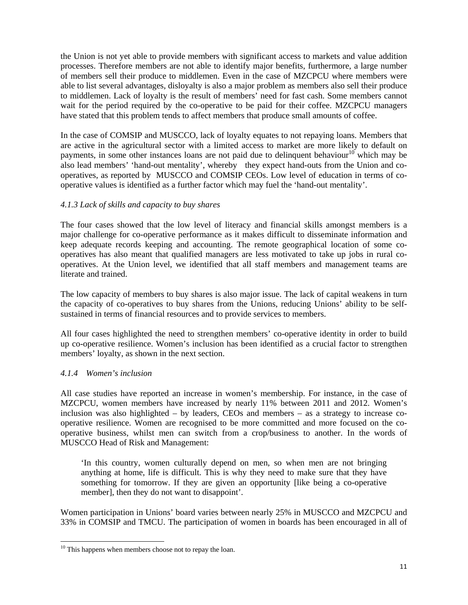the Union is not yet able to provide members with significant access to markets and value addition processes. Therefore members are not able to identify major benefits, furthermore, a large number of members sell their produce to middlemen. Even in the case of MZCPCU where members were able to list several advantages, disloyalty is also a major problem as members also sell their produce to middlemen. Lack of loyalty is the result of members' need for fast cash. Some members cannot wait for the period required by the co-operative to be paid for their coffee. MZCPCU managers have stated that this problem tends to affect members that produce small amounts of coffee.

In the case of COMSIP and MUSCCO, lack of loyalty equates to not repaying loans. Members that are active in the agricultural sector with a limited access to market are more likely to default on payments, in some other instances loans are not paid due to delinquent behaviour<sup>10</sup> which may be also lead members' 'hand-out mentality', whereby they expect hand-outs from the Union and cooperatives, as reported by MUSCCO and COMSIP CEOs. Low level of education in terms of cooperative values is identified as a further factor which may fuel the 'hand-out mentality'.

## *4.1.3 Lack of skills and capacity to buy shares*

The four cases showed that the low level of literacy and financial skills amongst members is a major challenge for co-operative performance as it makes difficult to disseminate information and keep adequate records keeping and accounting. The remote geographical location of some cooperatives has also meant that qualified managers are less motivated to take up jobs in rural cooperatives. At the Union level, we identified that all staff members and management teams are literate and trained.

The low capacity of members to buy shares is also major issue. The lack of capital weakens in turn the capacity of co-operatives to buy shares from the Unions, reducing Unions' ability to be selfsustained in terms of financial resources and to provide services to members.

All four cases highlighted the need to strengthen members' co-operative identity in order to build up co-operative resilience. Women's inclusion has been identified as a crucial factor to strengthen members' loyalty, as shown in the next section.

## *4.1.4 Women's inclusion*

All case studies have reported an increase in women's membership. For instance, in the case of MZCPCU, women members have increased by nearly 11% between 2011 and 2012. Women's inclusion was also highlighted – by leaders, CEOs and members – as a strategy to increase cooperative resilience. Women are recognised to be more committed and more focused on the cooperative business, whilst men can switch from a crop/business to another. In the words of MUSCCO Head of Risk and Management:

'In this country, women culturally depend on men, so when men are not bringing anything at home, life is difficult. This is why they need to make sure that they have something for tomorrow. If they are given an opportunity [like being a co-operative member], then they do not want to disappoint'.

Women participation in Unions' board varies between nearly 25% in MUSCCO and MZCPCU and 33% in COMSIP and TMCU. The participation of women in boards has been encouraged in all of

 $10$  This happens when members choose not to repay the loan.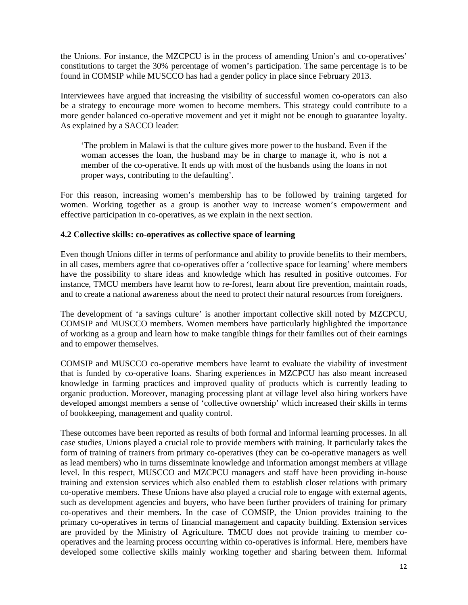the Unions. For instance, the MZCPCU is in the process of amending Union's and co-operatives' constitutions to target the 30% percentage of women's participation. The same percentage is to be found in COMSIP while MUSCCO has had a gender policy in place since February 2013.

Interviewees have argued that increasing the visibility of successful women co-operators can also be a strategy to encourage more women to become members. This strategy could contribute to a more gender balanced co-operative movement and yet it might not be enough to guarantee loyalty. As explained by a SACCO leader:

'The problem in Malawi is that the culture gives more power to the husband. Even if the woman accesses the loan, the husband may be in charge to manage it, who is not a member of the co-operative. It ends up with most of the husbands using the loans in not proper ways, contributing to the defaulting'.

For this reason, increasing women's membership has to be followed by training targeted for women. Working together as a group is another way to increase women's empowerment and effective participation in co-operatives, as we explain in the next section.

#### **4.2 Collective skills: co-operatives as collective space of learning**

Even though Unions differ in terms of performance and ability to provide benefits to their members, in all cases, members agree that co-operatives offer a 'collective space for learning' where members have the possibility to share ideas and knowledge which has resulted in positive outcomes. For instance, TMCU members have learnt how to re-forest, learn about fire prevention, maintain roads, and to create a national awareness about the need to protect their natural resources from foreigners.

The development of 'a savings culture' is another important collective skill noted by MZCPCU, COMSIP and MUSCCO members. Women members have particularly highlighted the importance of working as a group and learn how to make tangible things for their families out of their earnings and to empower themselves.

COMSIP and MUSCCO co-operative members have learnt to evaluate the viability of investment that is funded by co-operative loans. Sharing experiences in MZCPCU has also meant increased knowledge in farming practices and improved quality of products which is currently leading to organic production. Moreover, managing processing plant at village level also hiring workers have developed amongst members a sense of 'collective ownership' which increased their skills in terms of bookkeeping, management and quality control.

These outcomes have been reported as results of both formal and informal learning processes. In all case studies, Unions played a crucial role to provide members with training. It particularly takes the form of training of trainers from primary co-operatives (they can be co-operative managers as well as lead members) who in turns disseminate knowledge and information amongst members at village level. In this respect, MUSCCO and MZCPCU managers and staff have been providing in-house training and extension services which also enabled them to establish closer relations with primary co-operative members. These Unions have also played a crucial role to engage with external agents, such as development agencies and buyers, who have been further providers of training for primary co-operatives and their members. In the case of COMSIP, the Union provides training to the primary co-operatives in terms of financial management and capacity building. Extension services are provided by the Ministry of Agriculture. TMCU does not provide training to member cooperatives and the learning process occurring within co-operatives is informal. Here, members have developed some collective skills mainly working together and sharing between them. Informal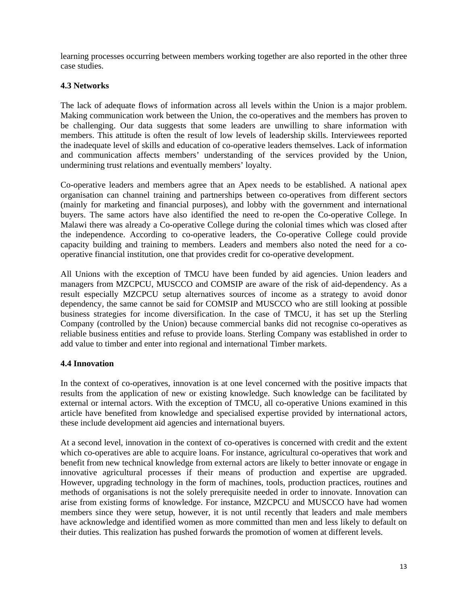learning processes occurring between members working together are also reported in the other three case studies.

## **4.3 Networks**

The lack of adequate flows of information across all levels within the Union is a major problem. Making communication work between the Union, the co-operatives and the members has proven to be challenging. Our data suggests that some leaders are unwilling to share information with members. This attitude is often the result of low levels of leadership skills. Interviewees reported the inadequate level of skills and education of co-operative leaders themselves. Lack of information and communication affects members' understanding of the services provided by the Union, undermining trust relations and eventually members' loyalty.

Co-operative leaders and members agree that an Apex needs to be established. A national apex organisation can channel training and partnerships between co-operatives from different sectors (mainly for marketing and financial purposes), and lobby with the government and international buyers. The same actors have also identified the need to re-open the Co-operative College. In Malawi there was already a Co-operative College during the colonial times which was closed after the independence. According to co-operative leaders, the Co-operative College could provide capacity building and training to members. Leaders and members also noted the need for a cooperative financial institution, one that provides credit for co-operative development.

All Unions with the exception of TMCU have been funded by aid agencies. Union leaders and managers from MZCPCU, MUSCCO and COMSIP are aware of the risk of aid-dependency. As a result especially MZCPCU setup alternatives sources of income as a strategy to avoid donor dependency, the same cannot be said for COMSIP and MUSCCO who are still looking at possible business strategies for income diversification. In the case of TMCU, it has set up the Sterling Company (controlled by the Union) because commercial banks did not recognise co-operatives as reliable business entities and refuse to provide loans. Sterling Company was established in order to add value to timber and enter into regional and international Timber markets.

## **4.4 Innovation**

In the context of co-operatives, innovation is at one level concerned with the positive impacts that results from the application of new or existing knowledge. Such knowledge can be facilitated by external or internal actors. With the exception of TMCU, all co-operative Unions examined in this article have benefited from knowledge and specialised expertise provided by international actors, these include development aid agencies and international buyers.

At a second level, innovation in the context of co-operatives is concerned with credit and the extent which co-operatives are able to acquire loans. For instance, agricultural co-operatives that work and benefit from new technical knowledge from external actors are likely to better innovate or engage in innovative agricultural processes if their means of production and expertise are upgraded. However, upgrading technology in the form of machines, tools, production practices, routines and methods of organisations is not the solely prerequisite needed in order to innovate. Innovation can arise from existing forms of knowledge. For instance, MZCPCU and MUSCCO have had women members since they were setup, however, it is not until recently that leaders and male members have acknowledge and identified women as more committed than men and less likely to default on their duties. This realization has pushed forwards the promotion of women at different levels.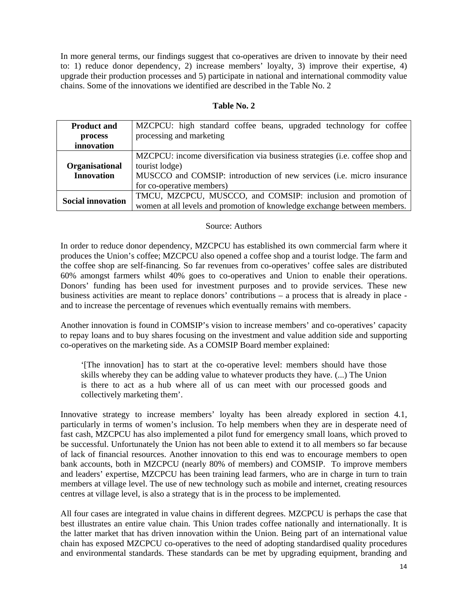In more general terms, our findings suggest that co-operatives are driven to innovate by their need to: 1) reduce donor dependency, 2) increase members' loyalty, 3) improve their expertise, 4) upgrade their production processes and 5) participate in national and international commodity value chains. Some of the innovations we identified are described in the Table No. 2

#### **Table No. 2**

| <b>Product and</b>       | MZCPCU: high standard coffee beans, upgraded technology for coffee           |  |  |  |  |
|--------------------------|------------------------------------------------------------------------------|--|--|--|--|
| process                  | processing and marketing                                                     |  |  |  |  |
| innovation               |                                                                              |  |  |  |  |
|                          | MZCPCU: income diversification via business strategies (i.e. coffee shop and |  |  |  |  |
| Organisational           | tourist lodge)                                                               |  |  |  |  |
| <b>Innovation</b>        | MUSCCO and COMSIP: introduction of new services (i.e. micro insurance        |  |  |  |  |
|                          | for co-operative members)                                                    |  |  |  |  |
| <b>Social innovation</b> | TMCU, MZCPCU, MUSCCO, and COMSIP: inclusion and promotion of                 |  |  |  |  |
|                          | women at all levels and promotion of knowledge exchange between members.     |  |  |  |  |

#### Source: Authors

In order to reduce donor dependency, MZCPCU has established its own commercial farm where it produces the Union's coffee; MZCPCU also opened a coffee shop and a tourist lodge. The farm and the coffee shop are self-financing. So far revenues from co-operatives' coffee sales are distributed 60% amongst farmers whilst 40% goes to co-operatives and Union to enable their operations. Donors' funding has been used for investment purposes and to provide services. These new business activities are meant to replace donors' contributions – a process that is already in place and to increase the percentage of revenues which eventually remains with members.

Another innovation is found in COMSIP's vision to increase members' and co-operatives' capacity to repay loans and to buy shares focusing on the investment and value addition side and supporting co-operatives on the marketing side. As a COMSIP Board member explained:

'[The innovation] has to start at the co-operative level: members should have those skills whereby they can be adding value to whatever products they have. (...) The Union is there to act as a hub where all of us can meet with our processed goods and collectively marketing them'.

Innovative strategy to increase members' loyalty has been already explored in section 4.1, particularly in terms of women's inclusion. To help members when they are in desperate need of fast cash, MZCPCU has also implemented a pilot fund for emergency small loans, which proved to be successful. Unfortunately the Union has not been able to extend it to all members so far because of lack of financial resources. Another innovation to this end was to encourage members to open bank accounts, both in MZCPCU (nearly 80% of members) and COMSIP. To improve members and leaders' expertise, MZCPCU has been training lead farmers, who are in charge in turn to train members at village level. The use of new technology such as mobile and internet, creating resources centres at village level, is also a strategy that is in the process to be implemented.

All four cases are integrated in value chains in different degrees. MZCPCU is perhaps the case that best illustrates an entire value chain. This Union trades coffee nationally and internationally. It is the latter market that has driven innovation within the Union. Being part of an international value chain has exposed MZCPCU co-operatives to the need of adopting standardised quality procedures and environmental standards. These standards can be met by upgrading equipment, branding and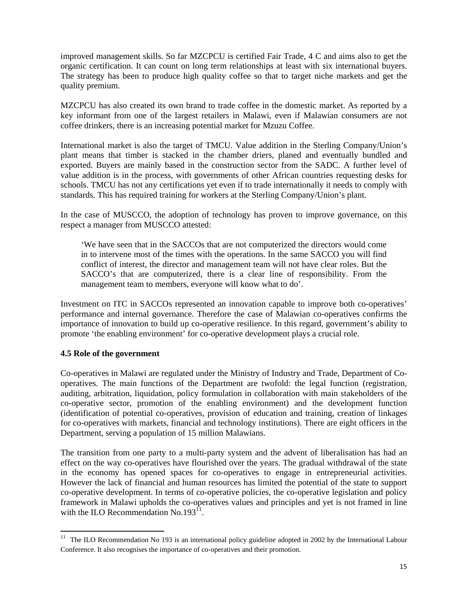improved management skills. So far MZCPCU is certified Fair Trade, 4 C and aims also to get the organic certification. It can count on long term relationships at least with six international buyers. The strategy has been to produce high quality coffee so that to target niche markets and get the quality premium.

MZCPCU has also created its own brand to trade coffee in the domestic market. As reported by a key informant from one of the largest retailers in Malawi, even if Malawian consumers are not coffee drinkers, there is an increasing potential market for Mzuzu Coffee.

International market is also the target of TMCU. Value addition in the Sterling Company/Union's plant means that timber is stacked in the chamber driers, planed and eventually bundled and exported. Buyers are mainly based in the construction sector from the SADC. A further level of value addition is in the process, with governments of other African countries requesting desks for schools. TMCU has not any certifications yet even if to trade internationally it needs to comply with standards. This has required training for workers at the Sterling Company/Union's plant.

In the case of MUSCCO, the adoption of technology has proven to improve governance, on this respect a manager from MUSCCO attested:

'We have seen that in the SACCOs that are not computerized the directors would come in to intervene most of the times with the operations. In the same SACCO you will find conflict of interest, the director and management team will not have clear roles. But the SACCO's that are computerized, there is a clear line of responsibility. From the management team to members, everyone will know what to do'.

Investment on ITC in SACCOs represented an innovation capable to improve both co-operatives' performance and internal governance. Therefore the case of Malawian co-operatives confirms the importance of innovation to build up co-operative resilience. In this regard, government's ability to promote 'the enabling environment' for co-operative development plays a crucial role.

## **4.5 Role of the government**

Co-operatives in Malawi are regulated under the Ministry of Industry and Trade, Department of Cooperatives. The main functions of the Department are twofold: the legal function (registration, auditing, arbitration, liquidation, policy formulation in collaboration with main stakeholders of the co-operative sector, promotion of the enabling environment) and the development function (identification of potential co-operatives, provision of education and training, creation of linkages for co-operatives with markets, financial and technology institutions). There are eight officers in the Department, serving a population of 15 million Malawians.

The transition from one party to a multi-party system and the advent of liberalisation has had an effect on the way co-operatives have flourished over the years. The gradual withdrawal of the state in the economy has opened spaces for co-operatives to engage in entrepreneurial activities. However the lack of financial and human resources has limited the potential of the state to support co-operative development. In terms of co-operative policies, the co-operative legislation and policy framework in Malawi upholds the co-operatives values and principles and yet is not framed in line with the ILO Recommendation No.193 $^{11}$ .

<sup>&</sup>lt;sup>11</sup> The ILO Recommendation No 193 is an international policy guideline adopted in 2002 by the International Labour Conference. It also recognises the importance of co-operatives and their promotion.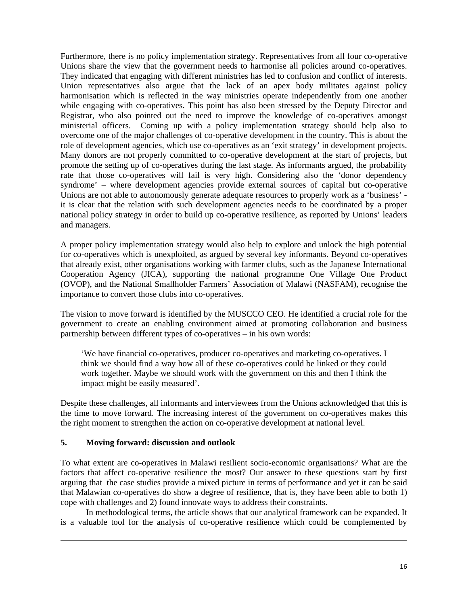Furthermore, there is no policy implementation strategy. Representatives from all four co-operative Unions share the view that the government needs to harmonise all policies around co-operatives. They indicated that engaging with different ministries has led to confusion and conflict of interests. Union representatives also argue that the lack of an apex body militates against policy harmonisation which is reflected in the way ministries operate independently from one another while engaging with co-operatives. This point has also been stressed by the Deputy Director and Registrar, who also pointed out the need to improve the knowledge of co-operatives amongst ministerial officers. Coming up with a policy implementation strategy should help also to overcome one of the major challenges of co-operative development in the country. This is about the role of development agencies, which use co-operatives as an 'exit strategy' in development projects. Many donors are not properly committed to co-operative development at the start of projects, but promote the setting up of co-operatives during the last stage. As informants argued, the probability rate that those co-operatives will fail is very high. Considering also the 'donor dependency syndrome' – where development agencies provide external sources of capital but co-operative Unions are not able to autonomously generate adequate resources to properly work as a 'business' it is clear that the relation with such development agencies needs to be coordinated by a proper national policy strategy in order to build up co-operative resilience, as reported by Unions' leaders and managers.

A proper policy implementation strategy would also help to explore and unlock the high potential for co-operatives which is unexploited, as argued by several key informants. Beyond co-operatives that already exist, other organisations working with farmer clubs, such as the Japanese International Cooperation Agency (JICA), supporting the national programme One Village One Product (OVOP), and the National Smallholder Farmers' Association of Malawi (NASFAM), recognise the importance to convert those clubs into co-operatives.

The vision to move forward is identified by the MUSCCO CEO. He identified a crucial role for the government to create an enabling environment aimed at promoting collaboration and business partnership between different types of co-operatives – in his own words:

'We have financial co-operatives, producer co-operatives and marketing co-operatives. I think we should find a way how all of these co-operatives could be linked or they could work together. Maybe we should work with the government on this and then I think the impact might be easily measured'.

Despite these challenges, all informants and interviewees from the Unions acknowledged that this is the time to move forward. The increasing interest of the government on co-operatives makes this the right moment to strengthen the action on co-operative development at national level.

#### **5. Moving forward: discussion and outlook**

To what extent are co-operatives in Malawi resilient socio-economic organisations? What are the factors that affect co-operative resilience the most? Our answer to these questions start by first arguing that the case studies provide a mixed picture in terms of performance and yet it can be said that Malawian co-operatives do show a degree of resilience, that is, they have been able to both 1) cope with challenges and 2) found innovate ways to address their constraints.

In methodological terms, the article shows that our analytical framework can be expanded. It is a valuable tool for the analysis of co-operative resilience which could be complemented by

and the control of the control of the control of the control of the control of the control of the control of the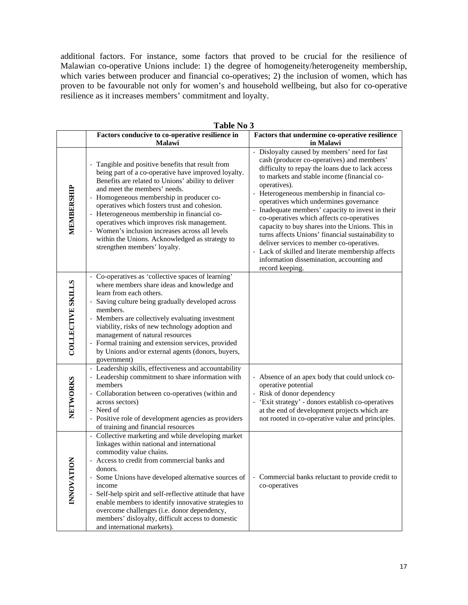additional factors. For instance, some factors that proved to be crucial for the resilience of Malawian co-operative Unions include: 1) the degree of homogeneity/heterogeneity membership, which varies between producer and financial co-operatives; 2) the inclusion of women, which has proven to be favourable not only for women's and household wellbeing, but also for co-operative resilience as it increases members' commitment and loyalty.

|                          | L'adie ind 5<br>Factors conducive to co-operative resilience in                                                                                                                                                                                                                                                                                                                                                                                                                                                                           | Factors that undermine co-operative resilience                                                                                                                                                                                                                                                                                                                                                                                                                                                                                                                                                                                                                                    |
|--------------------------|-------------------------------------------------------------------------------------------------------------------------------------------------------------------------------------------------------------------------------------------------------------------------------------------------------------------------------------------------------------------------------------------------------------------------------------------------------------------------------------------------------------------------------------------|-----------------------------------------------------------------------------------------------------------------------------------------------------------------------------------------------------------------------------------------------------------------------------------------------------------------------------------------------------------------------------------------------------------------------------------------------------------------------------------------------------------------------------------------------------------------------------------------------------------------------------------------------------------------------------------|
|                          | Malawi                                                                                                                                                                                                                                                                                                                                                                                                                                                                                                                                    | in Malawi                                                                                                                                                                                                                                                                                                                                                                                                                                                                                                                                                                                                                                                                         |
| MEMBERSHIP               | - Tangible and positive benefits that result from<br>being part of a co-operative have improved loyalty.<br>Benefits are related to Unions' ability to deliver<br>and meet the members' needs.<br>Homogeneous membership in producer co-<br>operatives which fosters trust and cohesion.<br>- Heterogeneous membership in financial co-<br>operatives which improves risk management.<br>Women's inclusion increases across all levels<br>within the Unions. Acknowledged as strategy to<br>strengthen members' loyalty.                  | - Disloyalty caused by members' need for fast<br>cash (producer co-operatives) and members'<br>difficulty to repay the loans due to lack access<br>to markets and stable income (financial co-<br>operatives).<br>Heterogeneous membership in financial co-<br>operatives which undermines governance<br>- Inadequate members' capacity to invest in their<br>co-operatives which affects co-operatives<br>capacity to buy shares into the Unions. This in<br>turns affects Unions' financial sustainability to<br>deliver services to member co-operatives.<br>- Lack of skilled and literate membership affects<br>information dissemination, accounting and<br>record keeping. |
| <b>COLLECTIVE SKILLS</b> | - Co-operatives as 'collective spaces of learning'<br>where members share ideas and knowledge and<br>learn from each others.<br>- Saving culture being gradually developed across<br>members.<br>- Members are collectively evaluating investment<br>viability, risks of new technology adoption and<br>management of natural resources<br>- Formal training and extension services, provided<br>by Unions and/or external agents (donors, buyers,<br>government)                                                                         |                                                                                                                                                                                                                                                                                                                                                                                                                                                                                                                                                                                                                                                                                   |
| NETWORKS                 | - Leadership skills, effectiveness and accountability<br>- Leadership commitment to share information with<br>members<br>- Collaboration between co-operatives (within and<br>across sectors)<br>- Need of<br>- Positive role of development agencies as providers<br>of training and financial resources                                                                                                                                                                                                                                 | - Absence of an apex body that could unlock co-<br>operative potential<br>- Risk of donor dependency<br>- 'Exit strategy' - donors establish co-operatives<br>at the end of development projects which are<br>not rooted in co-operative value and principles.                                                                                                                                                                                                                                                                                                                                                                                                                    |
| $\mathsf{S}$<br>INNOVATI | - Collective marketing and while developing market<br>linkages within national and international<br>commodity value chains.<br>Access to credit from commercial banks and<br>donors.<br>Some Unions have developed alternative sources of<br>$\overline{\phantom{a}}$<br>income<br>Self-help spirit and self-reflective attitude that have<br>-<br>enable members to identify innovative strategies to<br>overcome challenges (i.e. donor dependency,<br>members' disloyalty, difficult access to domestic<br>and international markets). | - Commercial banks reluctant to provide credit to<br>co-operatives                                                                                                                                                                                                                                                                                                                                                                                                                                                                                                                                                                                                                |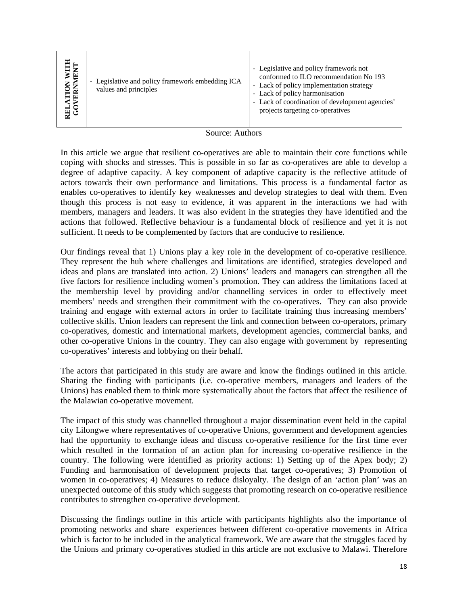#### Source: Authors

In this article we argue that resilient co-operatives are able to maintain their core functions while coping with shocks and stresses. This is possible in so far as co-operatives are able to develop a degree of adaptive capacity. A key component of adaptive capacity is the reflective attitude of actors towards their own performance and limitations. This process is a fundamental factor as enables co-operatives to identify key weaknesses and develop strategies to deal with them. Even though this process is not easy to evidence, it was apparent in the interactions we had with members, managers and leaders. It was also evident in the strategies they have identified and the actions that followed. Reflective behaviour is a fundamental block of resilience and yet it is not sufficient. It needs to be complemented by factors that are conducive to resilience.

Our findings reveal that 1) Unions play a key role in the development of co-operative resilience. They represent the hub where challenges and limitations are identified, strategies developed and ideas and plans are translated into action. 2) Unions' leaders and managers can strengthen all the five factors for resilience including women's promotion. They can address the limitations faced at the membership level by providing and/or channelling services in order to effectively meet members' needs and strengthen their commitment with the co-operatives. They can also provide training and engage with external actors in order to facilitate training thus increasing members' collective skills. Union leaders can represent the link and connection between co-operators, primary co-operatives, domestic and international markets, development agencies, commercial banks, and other co-operative Unions in the country. They can also engage with government by representing co-operatives' interests and lobbying on their behalf.

The actors that participated in this study are aware and know the findings outlined in this article. Sharing the finding with participants (i.e. co-operative members, managers and leaders of the Unions) has enabled them to think more systematically about the factors that affect the resilience of the Malawian co-operative movement.

The impact of this study was channelled throughout a major dissemination event held in the capital city Lilongwe where representatives of co-operative Unions, government and development agencies had the opportunity to exchange ideas and discuss co-operative resilience for the first time ever which resulted in the formation of an action plan for increasing co-operative resilience in the country. The following were identified as priority actions: 1) Setting up of the Apex body; 2) Funding and harmonisation of development projects that target co-operatives; 3) Promotion of women in co-operatives; 4) Measures to reduce disloyalty. The design of an 'action plan' was an unexpected outcome of this study which suggests that promoting research on co-operative resilience contributes to strengthen co-operative development.

Discussing the findings outline in this article with participants highlights also the importance of promoting networks and share experiences between different co-operative movements in Africa which is factor to be included in the analytical framework. We are aware that the struggles faced by the Unions and primary co-operatives studied in this article are not exclusive to Malawi. Therefore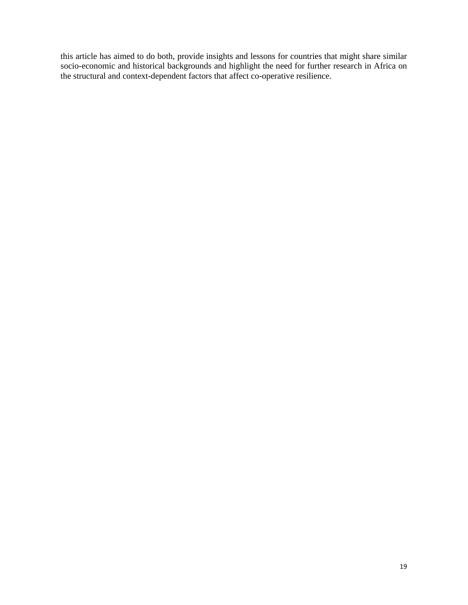this article has aimed to do both, provide insights and lessons for countries that might share similar socio-economic and historical backgrounds and highlight the need for further research in Africa on the structural and context-dependent factors that affect co-operative resilience.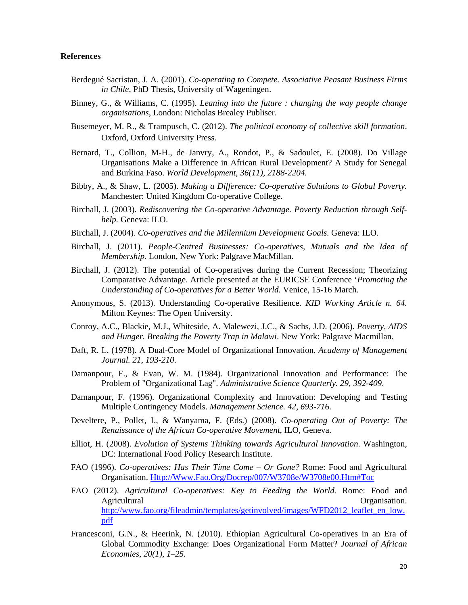#### **References**

- Berdegué Sacristan, J. A. (2001). *Co-operating to Compete. Associative Peasant Business Firms in Chile*, PhD Thesis, University of Wageningen.
- Binney, G., & Williams, C. (1995). *Leaning into the future : changing the way people change organisations*, London: Nicholas Brealey Publiser.
- Busemeyer, M. R., & Trampusch, C. (2012). *The political economy of collective skill formation*. Oxford, Oxford University Press.
- Bernard, T., Collion, M-H., de Janvry, A., Rondot, P., & Sadoulet, E. (2008). Do Village Organisations Make a Difference in African Rural Development? A Study for Senegal and Burkina Faso. *World Development*, *36(11), 2188-2204.*
- Bibby, A., & Shaw, L. (2005). *Making a Difference: Co-operative Solutions to Global Poverty.* Manchester: United Kingdom Co-operative College.
- Birchall, J. (2003). *Rediscovering the Co-operative Advantage. Poverty Reduction through Selfhelp.* Geneva: ILO.
- Birchall, J. (2004). *Co-operatives and the Millennium Development Goals.* Geneva: ILO.
- Birchall, J. (2011). *People-Centred Businesses: Co-operatives, Mutuals and the Idea of Membership.* London, New York: Palgrave MacMillan.
- Birchall, J. (2012). The potential of Co-operatives during the Current Recession; Theorizing Comparative Advantage. Article presented at the EURICSE Conference '*Promoting the Understanding of Co-operatives for a Better World.* Venice, 15-16 March.
- Anonymous, S. (2013). Understanding Co-operative Resilience. *KID Working Article n. 64.* Milton Keynes: The Open University.
- Conroy, A.C., Blackie, M.J., Whiteside, A. Malewezi, J.C., & Sachs, J.D. (2006). *Poverty, AIDS and Hunger. Breaking the Poverty Trap in Malawi*. New York: Palgrave Macmillan.
- Daft, R. L. (1978). A Dual-Core Model of Organizational Innovation. *Academy of Management Journal. 21, 193-210*.
- Damanpour, F., & Evan, W. M. (1984). Organizational Innovation and Performance: The Problem of "Organizational Lag". *Administrative Science Quarterly. 29, 392-409*.
- Damanpour, F. (1996). Organizational Complexity and Innovation: Developing and Testing Multiple Contingency Models. *Management Science. 42, 693-716*.
- Develtere, P., Pollet, I., & Wanyama, F. (Eds.) (2008). *Co-operating Out of Poverty: The Renaissance of the African Co-operative Movement*, ILO, Geneva.
- Elliot, H. (2008). *Evolution of Systems Thinking towards Agricultural Innovation*. Washington, DC: International Food Policy Research Institute.
- FAO (1996). *Co-operatives: Has Their Time Come Or Gone?* Rome: Food and Agricultural Organisation. Http://Www.Fao.Org/Docrep/007/W3708e/W3708e00.Htm#Toc
- FAO (2012). *Agricultural Co-operatives: Key to Feeding the World.* Rome: Food and Agricultural Organisation. http://www.fao.org/fileadmin/templates/getinvolved/images/WFD2012\_leaflet\_en\_low. pdf
- Francesconi, G.N., & Heerink, N. (2010). Ethiopian Agricultural Co-operatives in an Era of Global Commodity Exchange: Does Organizational Form Matter? *Journal of African Economies*, *20(1), 1–25.*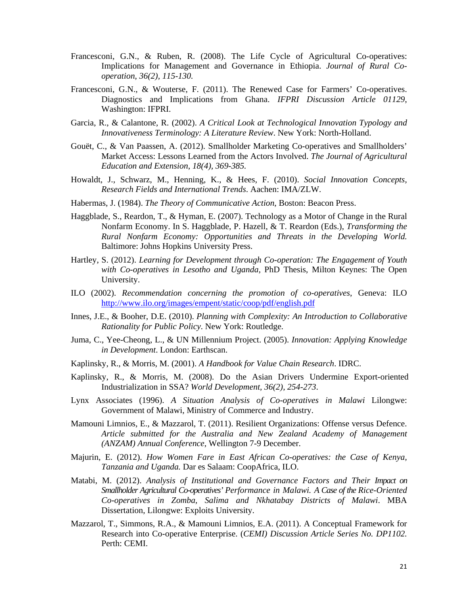- Francesconi, G.N., & Ruben, R. (2008). The Life Cycle of Agricultural Co-operatives: Implications for Management and Governance in Ethiopia. *Journal of Rural Cooperation*, *36(2), 115-130.*
- Francesconi, G.N., & Wouterse, F. (2011). The Renewed Case for Farmers' Co-operatives. Diagnostics and Implications from Ghana. *IFPRI Discussion Article 01129*, Washington: IFPRI.
- Garcia, R., & Calantone, R. (2002). *A Critical Look at Technological Innovation Typology and Innovativeness Terminology: A Literature Review*. New York: North-Holland.
- Gouët, C., & Van Paassen, A. (2012). Smallholder Marketing Co-operatives and Smallholders' Market Access: Lessons Learned from the Actors Involved. *The Journal of Agricultural Education and Extension*, *18(4), 369-385.*
- Howaldt, J., Schwarz, M., Henning, K., & Hees, F. (2010). *Social Innovation Concepts, Research Fields and International Trends*. Aachen: IMA/ZLW.
- Habermas, J. (1984). *The Theory of Communicative Action*, Boston: Beacon Press.
- Haggblade, S., Reardon, T., & Hyman, E. (2007). Technology as a Motor of Change in the Rural Nonfarm Economy. In S. Haggblade, P. Hazell, & T. Reardon (Eds.), *Transforming the Rural Nonfarm Economy: Opportunities and Threats in the Developing World.*  Baltimore: Johns Hopkins University Press.
- Hartley, S. (2012). *Learning for Development through Co-operation: The Engagement of Youth with Co-operatives in Lesotho and Uganda,* PhD Thesis, Milton Keynes: The Open University.
- ILO (2002). *Recommendation concerning the promotion of co-operatives*, Geneva: ILO http://www.ilo.org/images/empent/static/coop/pdf/english.pdf
- Innes, J.E., & Booher, D.E. (2010). *Planning with Complexity: An Introduction to Collaborative Rationality for Public Policy*. New York: Routledge.
- Juma, C., Yee-Cheong, L., & UN Millennium Project. (2005). *Innovation: Applying Knowledge in Development*. London: Earthscan.
- Kaplinsky, R., & Morris, M. (2001). *A Handbook for Value Chain Research*. IDRC.
- Kaplinsky, R., & Morris, M. (2008). Do the Asian Drivers Undermine Export-oriented Industrialization in SSA? *World Development, 36(2), 254-273*.
- Lynx Associates (1996). *A Situation Analysis of Co-operatives in Malawi* Lilongwe: Government of Malawi, Ministry of Commerce and Industry.
- Mamouni Limnios, E., & Mazzarol, T. (2011). Resilient Organizations: Offense versus Defence. *Article submitted for the Australia and New Zealand Academy of Management (ANZAM) Annual Conference*, Wellington 7-9 December.
- Majurin, E. (2012). *How Women Fare in East African Co-operatives: the Case of Kenya, Tanzania and Uganda.* Dar es Salaam: CoopAfrica, ILO.
- Matabi, M. (2012). *Analysis of Institutional and Governance Factors and Their Impact on Smallholder Agricultural Co-operatives' Performance in Malawi. A Case of the Rice-Oriented Co-operatives in Zomba, Salima and Nkhatabay Districts of Malawi*. MBA Dissertation, Lilongwe: Exploits University.
- Mazzarol, T., Simmons, R.A., & Mamouni Limnios, E.A. (2011). A Conceptual Framework for Research into Co-operative Enterprise. (*CEMI) Discussion Article Series No. DP1102.* Perth: CEMI.